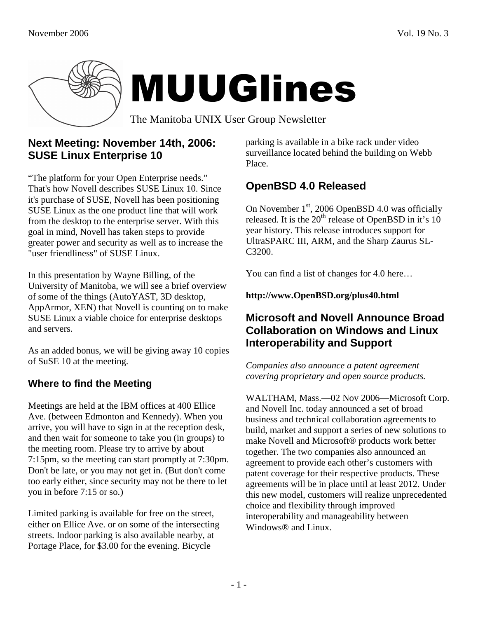

## **Next Meeting: November 14th, 2006: SUSE Linux Enterprise 10**

"The platform for your Open Enterprise needs." That's how Novell describes SUSE Linux 10. Since it's purchase of SUSE, Novell has been positioning SUSE Linux as the one product line that will work from the desktop to the enterprise server. With this goal in mind, Novell has taken steps to provide greater power and security as well as to increase the "user friendliness" of SUSE Linux.

In this presentation by Wayne Billing, of the University of Manitoba, we will see a brief overview of some of the things (AutoYAST, 3D desktop, AppArmor, XEN) that Novell is counting on to make SUSE Linux a viable choice for enterprise desktops and servers.

As an added bonus, we will be giving away 10 copies of SuSE 10 at the meeting.

## **Where to find the Meeting**

Meetings are held at the IBM offices at 400 Ellice Ave. (between Edmonton and Kennedy). When you arrive, you will have to sign in at the reception desk, and then wait for someone to take you (in groups) to the meeting room. Please try to arrive by about 7:15pm, so the meeting can start promptly at 7:30pm. Don't be late, or you may not get in. (But don't come too early either, since security may not be there to let you in before 7:15 or so.)

Limited parking is available for free on the street, either on Ellice Ave. or on some of the intersecting streets. Indoor parking is also available nearby, at Portage Place, for \$3.00 for the evening. Bicycle

parking is available in a bike rack under video surveillance located behind the building on Webb Place.

## **OpenBSD 4.0 Released**

On November  $1<sup>st</sup>$ , 2006 OpenBSD 4.0 was officially released. It is the  $20<sup>th</sup>$  release of OpenBSD in it's 10 year history. This release introduces support for UltraSPARC III, ARM, and the Sharp Zaurus SL-C3200.

You can find a list of changes for 4.0 here…

#### **http://www.OpenBSD.org/plus40.html**

### **Microsoft and Novell Announce Broad Collaboration on Windows and Linux Interoperability and Support**

*Companies also announce a patent agreement covering proprietary and open source products.* 

WALTHAM, Mass.—02 Nov 2006—Microsoft Corp. and Novell Inc. today announced a set of broad business and technical collaboration agreements to build, market and support a series of new solutions to make Novell and Microsoft® products work better together. The two companies also announced an agreement to provide each other's customers with patent coverage for their respective products. These agreements will be in place until at least 2012. Under this new model, customers will realize unprecedented choice and flexibility through improved interoperability and manageability between Windows® and Linux.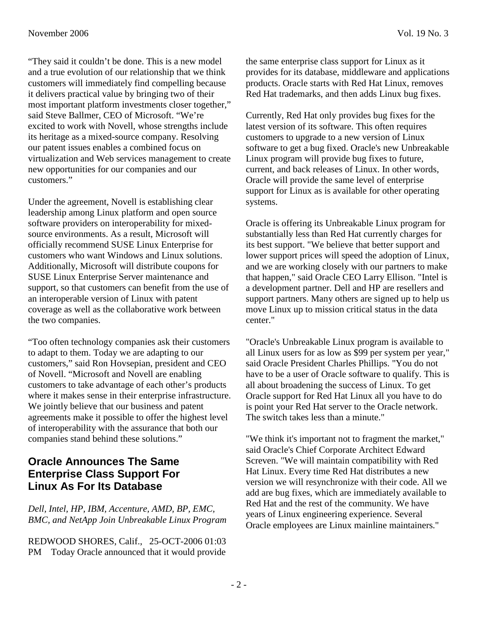"They said it couldn't be done. This is a new model and a true evolution of our relationship that we think customers will immediately find compelling because it delivers practical value by bringing two of their most important platform investments closer together," said Steve Ballmer, CEO of Microsoft. "We're excited to work with Novell, whose strengths include its heritage as a mixed-source company. Resolving our patent issues enables a combined focus on virtualization and Web services management to create new opportunities for our companies and our customers."

Under the agreement, Novell is establishing clear leadership among Linux platform and open source software providers on interoperability for mixedsource environments. As a result, Microsoft will officially recommend SUSE Linux Enterprise for customers who want Windows and Linux solutions. Additionally, Microsoft will distribute coupons for SUSE Linux Enterprise Server maintenance and support, so that customers can benefit from the use of an interoperable version of Linux with patent coverage as well as the collaborative work between the two companies.

"Too often technology companies ask their customers to adapt to them. Today we are adapting to our customers," said Ron Hovsepian, president and CEO of Novell. "Microsoft and Novell are enabling customers to take advantage of each other's products where it makes sense in their enterprise infrastructure. We jointly believe that our business and patent agreements make it possible to offer the highest level of interoperability with the assurance that both our companies stand behind these solutions."

## **Oracle Announces The Same Enterprise Class Support For Linux As For Its Database**

*Dell, Intel, HP, IBM, Accenture, AMD, BP, EMC, BMC, and NetApp Join Unbreakable Linux Program* 

REDWOOD SHORES, Calif., 25-OCT-2006 01:03 PM Today Oracle announced that it would provide the same enterprise class support for Linux as it provides for its database, middleware and applications products. Oracle starts with Red Hat Linux, removes Red Hat trademarks, and then adds Linux bug fixes.

Currently, Red Hat only provides bug fixes for the latest version of its software. This often requires customers to upgrade to a new version of Linux software to get a bug fixed. Oracle's new Unbreakable Linux program will provide bug fixes to future, current, and back releases of Linux. In other words, Oracle will provide the same level of enterprise support for Linux as is available for other operating systems.

Oracle is offering its Unbreakable Linux program for substantially less than Red Hat currently charges for its best support. "We believe that better support and lower support prices will speed the adoption of Linux, and we are working closely with our partners to make that happen," said Oracle CEO Larry Ellison. "Intel is a development partner. Dell and HP are resellers and support partners. Many others are signed up to help us move Linux up to mission critical status in the data center."

"Oracle's Unbreakable Linux program is available to all Linux users for as low as \$99 per system per year," said Oracle President Charles Phillips. "You do not have to be a user of Oracle software to qualify. This is all about broadening the success of Linux. To get Oracle support for Red Hat Linux all you have to do is point your Red Hat server to the Oracle network. The switch takes less than a minute."

"We think it's important not to fragment the market," said Oracle's Chief Corporate Architect Edward Screven. "We will maintain compatibility with Red Hat Linux. Every time Red Hat distributes a new version we will resynchronize with their code. All we add are bug fixes, which are immediately available to Red Hat and the rest of the community. We have years of Linux engineering experience. Several Oracle employees are Linux mainline maintainers."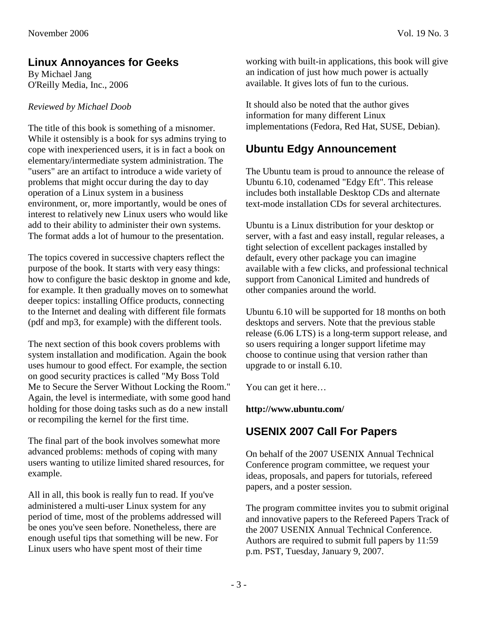# **Linux Annoyances for Geeks**

By Michael Jang O'Reilly Media, Inc., 2006

#### *Reviewed by Michael Doob*

The title of this book is something of a misnomer. While it ostensibly is a book for sys admins trying to cope with inexperienced users, it is in fact a book on elementary/intermediate system administration. The "users" are an artifact to introduce a wide variety of problems that might occur during the day to day operation of a Linux system in a business environment, or, more importantly, would be ones of interest to relatively new Linux users who would like add to their ability to administer their own systems. The format adds a lot of humour to the presentation.

The topics covered in successive chapters reflect the purpose of the book. It starts with very easy things: how to configure the basic desktop in gnome and kde, for example. It then gradually moves on to somewhat deeper topics: installing Office products, connecting to the Internet and dealing with different file formats (pdf and mp3, for example) with the different tools.

The next section of this book covers problems with system installation and modification. Again the book uses humour to good effect. For example, the section on good security practices is called "My Boss Told Me to Secure the Server Without Locking the Room." Again, the level is intermediate, with some good hand holding for those doing tasks such as do a new install or recompiling the kernel for the first time.

The final part of the book involves somewhat more advanced problems: methods of coping with many users wanting to utilize limited shared resources, for example.

All in all, this book is really fun to read. If you've administered a multi-user Linux system for any period of time, most of the problems addressed will be ones you've seen before. Nonetheless, there are enough useful tips that something will be new. For Linux users who have spent most of their time

working with built-in applications, this book will give an indication of just how much power is actually available. It gives lots of fun to the curious.

It should also be noted that the author gives information for many different Linux implementations (Fedora, Red Hat, SUSE, Debian).

# **Ubuntu Edgy Announcement**

The Ubuntu team is proud to announce the release of Ubuntu 6.10, codenamed "Edgy Eft". This release includes both installable Desktop CDs and alternate text-mode installation CDs for several architectures.

Ubuntu is a Linux distribution for your desktop or server, with a fast and easy install, regular releases, a tight selection of excellent packages installed by default, every other package you can imagine available with a few clicks, and professional technical support from Canonical Limited and hundreds of other companies around the world.

Ubuntu 6.10 will be supported for 18 months on both desktops and servers. Note that the previous stable release (6.06 LTS) is a long-term support release, and so users requiring a longer support lifetime may choose to continue using that version rather than upgrade to or install 6.10.

You can get it here…

#### **http://www.ubuntu.com/**

## **USENIX 2007 Call For Papers**

On behalf of the 2007 USENIX Annual Technical Conference program committee, we request your ideas, proposals, and papers for tutorials, refereed papers, and a poster session.

The program committee invites you to submit original and innovative papers to the Refereed Papers Track of the 2007 USENIX Annual Technical Conference. Authors are required to submit full papers by 11:59 p.m. PST, Tuesday, January 9, 2007.